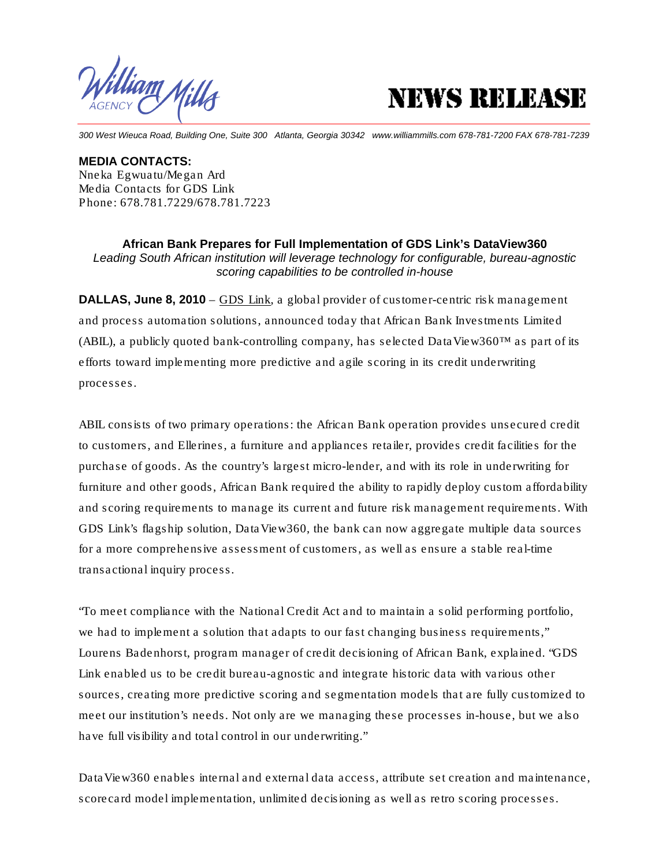l**illiam Mills** 



*300 West Wieuca Road, Building One, Suite 300 Atlanta, Georgia 30342 www.williammills.com 678-781-7200 FAX 678-781-7239*

**MEDIA CONTACTS:**  Nneka Egwuatu/Megan Ard Media Contacts for GDS Link Phone: 678.781.7229/678.781.7223

**African Bank Prepares for Full Implementation of GDS Link's DataView360**  *Leading South African institution will leverage technology for configurable, bureau-agnostic scoring capabilities to be controlled in-house* 

**DALLAS, June 8, 2010** – GDS Link, a global provider of customer-centric risk management and process automation solutions, announced today that African Bank Investments Limited (ABIL), a publicly quoted bank-controlling company, has selected DataView360™ as part of its efforts toward implementing more predictive and agile scoring in its credit underwriting processes.

ABIL consists of two primary operations: the African Bank operation provides unsecured credit to customers, and Ellerines, a furniture and appliances retailer, provides credit facilities for the purchase of goods. As the country's largest micro-lender, and with its role in underwriting for furniture and other goods, African Bank required the ability to rapidly deploy custom affordability and scoring requirements to manage its current and future risk management requirements. With GDS Link's flagship solution, DataView360, the bank can now aggregate multiple data sources for a more comprehensive assessment of customers, as well as ensure a stable real-time transactional inquiry process.

"To meet compliance with the National Credit Act and to maintain a solid performing portfolio, we had to implement a solution that adapts to our fast changing business requirements," Lourens Badenhorst, program manager of credit decisioning of African Bank, explained. "GDS Link enabled us to be credit bureau-agnostic and integrate historic data with various other sources, creating more predictive scoring and segmentation models that are fully customized to meet our institution's needs. Not only are we managing these processes in-house, but we also have full visibility and total control in our underwriting."

DataView360 enables internal and external data access, attribute set creation and maintenance, scorecard model implementation, unlimited decisioning as well as retro scoring processes.